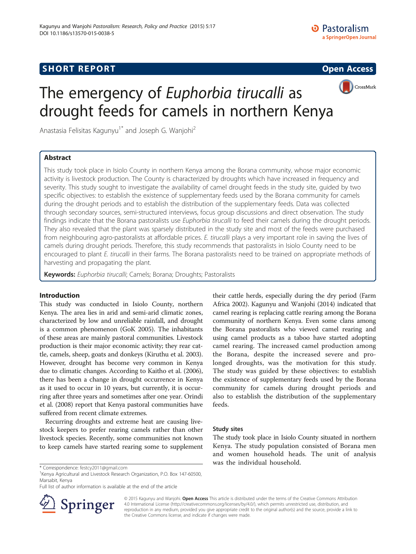# **SHORT REPORT SHORT CONSTRUCTED AT A SEXUAL CONSTRUCT OF A SEXUAL CONSTRUCTION OPEN Access**





# The emergency of Euphorbia tirucalli as drought feeds for camels in northern Kenya

Anastasia Felisitas Kagunyu<sup>1\*</sup> and Joseph G. Wanjohi<sup>2</sup>

## Abstract

This study took place in Isiolo County in northern Kenya among the Borana community, whose major economic activity is livestock production. The County is characterized by droughts which have increased in frequency and severity. This study sought to investigate the availability of camel drought feeds in the study site, guided by two specific objectives: to establish the existence of supplementary feeds used by the Borana community for camels during the drought periods and to establish the distribution of the supplementary feeds. Data was collected through secondary sources, semi-structured interviews, focus group discussions and direct observation. The study findings indicate that the Borana pastoralists use Euphorbia tirucalli to feed their camels during the drought periods. They also revealed that the plant was sparsely distributed in the study site and most of the feeds were purchased from neighbouring agro-pastoralists at affordable prices. E. tirucalli plays a very important role in saving the lives of camels during drought periods. Therefore, this study recommends that pastoralists in Isiolo County need to be encouraged to plant E. tirucalli in their farms. The Borana pastoralists need to be trained on appropriate methods of harvesting and propagating the plant.

Keywords: Euphorbia tirucalli; Camels; Borana; Droughts; Pastoralists

### Introduction

This study was conducted in Isiolo County, northern Kenya. The area lies in arid and semi-arid climatic zones, characterized by low and unreliable rainfall, and drought is a common phenomenon (GoK [2005](#page-3-0)). The inhabitants of these areas are mainly pastoral communities. Livestock production is their major economic activity; they rear cattle, camels, sheep, goats and donkeys (Kiruthu et al. [2003](#page-3-0)). However, drought has become very common in Kenya due to climatic changes. According to Kaitho et al. [\(2006](#page-3-0)), there has been a change in drought occurrence in Kenya as it used to occur in 10 years, but currently, it is occurring after three years and sometimes after one year. Orindi et al. [\(2008\)](#page-3-0) report that Kenya pastoral communities have suffered from recent climate extremes.

Recurring droughts and extreme heat are causing livestock keepers to prefer rearing camels rather than other livestock species. Recently, some communities not known to keep camels have started rearing some to supplement

Full list of author information is available at the end of the article



their cattle herds, especially during the dry period (Farm Africa [2002\)](#page-3-0). Kagunyu and Wanjohi [\(2014\)](#page-3-0) indicated that camel rearing is replacing cattle rearing among the Borana community of northern Kenya. Even some clans among the Borana pastoralists who viewed camel rearing and using camel products as a taboo have started adopting camel rearing. The increased camel production among the Borana, despite the increased severe and prolonged droughts, was the motivation for this study. The study was guided by these objectives: to establish the existence of supplementary feeds used by the Borana community for camels during drought periods and also to establish the distribution of the supplementary feeds.

#### Study sites

The study took place in Isiolo County situated in northern Kenya. The study population consisted of Borana men and women household heads. The unit of analysis was the individual household.

© 2015 Kagunyu and Wanjohi. Open Access This article is distributed under the terms of the Creative Commons Attribution 4.0 International License [\(http://creativecommons.org/licenses/by/4.0/](http://creativecommons.org/licenses/by/4.0/)), which permits unrestricted use, distribution, and reproduction in any medium, provided you give appropriate credit to the original author(s) and the source, provide a link to the Creative Commons license, and indicate if changes were made.

<sup>\*</sup> Correspondence: [festcy2011@gmail.com](mailto:festcy2011@gmail.com) <sup>1</sup>

<sup>&</sup>lt;sup>1</sup> Kenya Agricultural and Livestock Research Organization, P.O. Box 147-60500, Marsabit, Kenya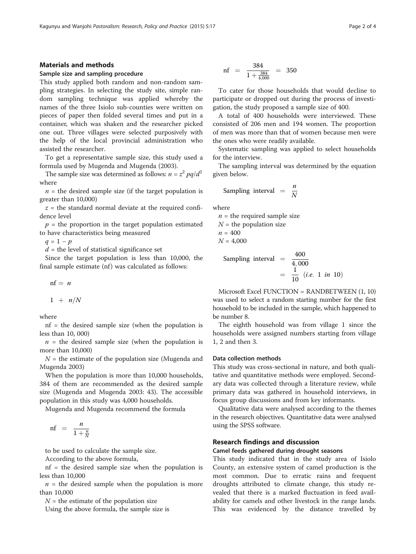#### Materials and methods

#### Sample size and sampling procedure

This study applied both random and non-random sampling strategies. In selecting the study site, simple random sampling technique was applied whereby the names of the three Isiolo sub-counties were written on pieces of paper then folded several times and put in a container, which was shaken and the researcher picked one out. Three villages were selected purposively with the help of the local provincial administration who assisted the researcher.

To get a representative sample size, this study used a formula used by Mugenda and Mugenda ([2003\)](#page-3-0).

The sample size was determined as follows:  $n = z^2 pq/d^2$ where

 $n =$  the desired sample size (if the target population is greater than 10,000)

 $z =$  the standard normal deviate at the required confidence level

 $p =$  the proportion in the target population estimated to have characteristics being measured

 $q = 1 - p$ 

 $d =$  the level of statistical significance set

Since the target population is less than 10,000, the final sample estimate (nf) was calculated as follows:

 $nf = n$ 

$$
1 + n/N
$$

where

nf = the desired sample size (when the population is less than 10, 000)

 $n =$  the desired sample size (when the population is more than 10,000)

 $N =$  the estimate of the population size (Mugenda and Mugenda [2003\)](#page-3-0)

When the population is more than 10,000 households, 384 of them are recommended as the desired sample size (Mugenda and Mugenda [2003](#page-3-0): 43). The accessible population in this study was 4,000 households.

Mugenda and Mugenda recommend the formula

$$
nf = \frac{n}{1 + \frac{n}{N}}
$$

to be used to calculate the sample size.

According to the above formula,

nf = the desired sample size when the population is less than 10,000

 $n =$  the desired sample when the population is more than 10,000

 $N =$  the estimate of the population size

Using the above formula, the sample size is

$$
\text{nf} = \frac{384}{1 + \frac{384}{4,000}} = 350
$$

To cater for those households that would decline to participate or dropped out during the process of investigation, the study proposed a sample size of 400.

A total of 400 households were interviewed. These consisted of 206 men and 194 women. The proportion of men was more than that of women because men were the ones who were readily available.

Systematic sampling was applied to select households for the interview.

The sampling interval was determined by the equation given below.

Sampling interval 
$$
=
$$
  $\frac{n}{N}$ 

where

 $n =$  the required sample size  $N =$  the population size  $n = 400$  $N = 4,000$ 

Sampling interval  $=$   $\frac{400}{4,000}$  $= \frac{1}{10}$  (*i.e.* 1 *in* 10)

Microsoft Excel FUNCTION = RANDBETWEEN (1, 10) was used to select a random starting number for the first household to be included in the sample, which happened to be number 8.

The eighth household was from village 1 since the households were assigned numbers starting from village 1, 2 and then 3.

#### Data collection methods

This study was cross-sectional in nature, and both qualitative and quantitative methods were employed. Secondary data was collected through a literature review, while primary data was gathered in household interviews, in focus group discussions and from key informants.

Qualitative data were analysed according to the themes in the research objectives. Quantitative data were analysed using the SPSS software.

#### Research findings and discussion

#### Camel feeds gathered during drought seasons

This study indicated that in the study area of Isiolo County, an extensive system of camel production is the most common. Due to erratic rains and frequent droughts attributed to climate change, this study revealed that there is a marked fluctuation in feed availability for camels and other livestock in the range lands. This was evidenced by the distance travelled by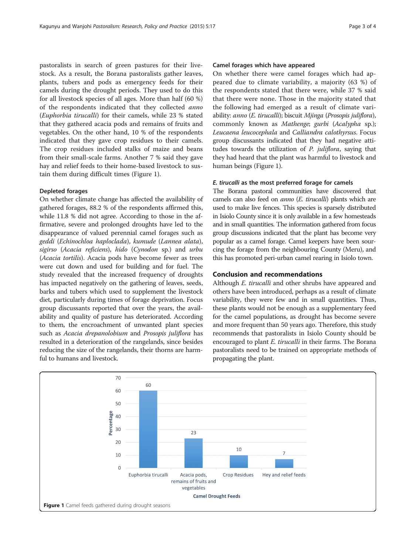pastoralists in search of green pastures for their livestock. As a result, the Borana pastoralists gather leaves, plants, tubers and pods as emergency feeds for their camels during the drought periods. They used to do this for all livestock species of all ages. More than half (60 %) of the respondents indicated that they collected anno (Euphorbia tirucalli) for their camels, while 23 % stated that they gathered acacia pods and remains of fruits and vegetables. On the other hand, 10 % of the respondents indicated that they gave crop residues to their camels. The crop residues included stalks of maize and beans from their small-scale farms. Another 7 % said they gave hay and relief feeds to their home-based livestock to sustain them during difficult times (Figure 1).

#### Depleted forages

On whether climate change has affected the availability of gathered forages, 88.2 % of the respondents affirmed this, while 11.8 % did not agree. According to those in the affirmative, severe and prolonged droughts have led to the disappearance of valued perennial camel forages such as geddi (Echinochloa haploclada), kumude (Lannea alata), sigirso (Acacia reficiens), hido (Cynodon sp.) and urbu (Acacia tortilis). Acacia pods have become fewer as trees were cut down and used for building and for fuel. The study revealed that the increased frequency of droughts has impacted negatively on the gathering of leaves, seeds, barks and tubers which used to supplement the livestock diet, particularly during times of forage deprivation. Focus group discussants reported that over the years, the availability and quality of pasture has deteriorated. According to them, the encroachment of unwanted plant species such as Acacia drepanolobium and Prosopis juliflora has resulted in a deterioration of the rangelands, since besides reducing the size of the rangelands, their thorns are harmful to humans and livestock.

#### Camel forages which have appeared

On whether there were camel forages which had appeared due to climate variability, a majority (63 %) of the respondents stated that there were, while 37 % said that there were none. Those in the majority stated that the following had emerged as a result of climate variability: anno (E. tirucalli); biscuit Mjinga (Prosopis juliflora), commonly known as Mathenge; gurbi (Acalypha sp.); Leucaena leucocephala and Calliandra calothyrsus. Focus group discussants indicated that they had negative attitudes towards the utilization of P. juliflora, saying that they had heard that the plant was harmful to livestock and human beings (Figure 1).

#### E. tirucalli as the most preferred forage for camels

The Borana pastoral communities have discovered that camels can also feed on anno (E. tirucalli) plants which are used to make live fences. This species is sparsely distributed in Isiolo County since it is only available in a few homesteads and in small quantities. The information gathered from focus group discussions indicated that the plant has become very popular as a camel forage. Camel keepers have been sourcing the forage from the neighbouring County (Meru), and this has promoted peri-urban camel rearing in Isiolo town.

#### Conclusion and recommendations

Although E. tirucalli and other shrubs have appeared and others have been introduced, perhaps as a result of climate variability, they were few and in small quantities. Thus, these plants would not be enough as a supplementary feed for the camel populations, as drought has become severe and more frequent than 50 years ago. Therefore, this study recommends that pastoralists in Isiolo County should be encouraged to plant E. tirucalli in their farms. The Borana pastoralists need to be trained on appropriate methods of propagating the plant.